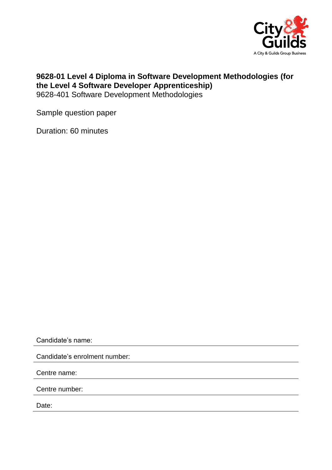

## **9628-01 Level 4 Diploma in Software Development Methodologies (for the Level 4 Software Developer Apprenticeship)** 9628-401 Software Development Methodologies

Sample question paper

Duration: 60 minutes

Candidate's name:

Candidate's enrolment number:

Centre name:

Centre number:

Date: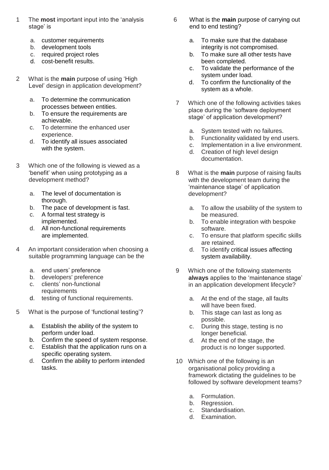- 1 The **most** important input into the 'analysis stage' is
	- a. customer requirements
	- b. development tools
	- c. required project roles
	- d. cost-benefit results.
- 2 What is the **main** purpose of using 'High Level' design in application development?
	- a. To determine the communication processes between entities.
	- b. To ensure the requirements are achievable.
	- c. To determine the enhanced user experience.
	- d. To identify all issues associated with the system.
- 3 Which one of the following is viewed as a 'benefit' when using prototyping as a development method?
	- a. The level of documentation is thorough.
	- b. The pace of development is fast.
	- c. A formal test strategy is implemented.
	- d. All non-functional requirements are implemented.
- 4 An important consideration when choosing a suitable programming language can be the
	- a. end users' preference
	- b. developers' preference
	- c. clients' non-functional requirements
	- d. testing of functional requirements.
- 5 What is the purpose of 'functional testing'?
	- a. Establish the ability of the system to perform under load.
	- b. Confirm the speed of system response.
	- c. Establish that the application runs on a specific operating system.
	- d. Confirm the ability to perform intended tasks.
- 6 What is the **main** purpose of carrying out end to end testing?
	- a. To make sure that the database integrity is not compromised.
	- b. To make sure all other tests have been completed.
	- c. To validate the performance of the system under load.
	- d. To confirm the functionality of the system as a whole.
- 7 Which one of the following activities takes place during the 'software deployment stage' of application development?
	- a. System tested with no failures.<br>b. Functionality validated by end u
	- Functionality validated by end users.
	- c. Implementation in a live environment.
	- d. Creation of high level design documentation.
- 8 What is the **main** purpose of raising faults with the development team during the 'maintenance stage' of application development?
	- a. To allow the usability of the system to be measured.
	- b. To enable integration with bespoke software.
	- c. To ensure that platform specific skills are retained.
	- d. To identify critical issues affecting system availability.
- 9 Which one of the following statements **always** applies to the 'maintenance stage' in an application development lifecycle?
	- a. At the end of the stage, all faults will have been fixed.
	- b. This stage can last as long as possible.
	- c. During this stage, testing is no longer beneficial.
	- d. At the end of the stage, the product is no longer supported.
- 10 Which one of the following is an organisational policy providing a framework dictating the guidelines to be followed by software development teams?
	- a. Formulation.
	- b. Regression.
	- c. Standardisation.
	- d. Examination.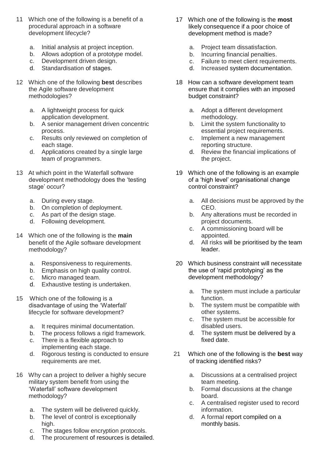- 11 Which one of the following is a benefit of a procedural approach in a software development lifecycle?
	- a. Initial analysis at project inception.
	- b. Allows adoption of a prototype model.
	- c. Development driven design.
	- d. Standardisation of stages.
- 12 Which one of the following **best** describes the Agile software development methodologies?
	- a. A lightweight process for quick application development.
	- b. A senior management driven concentric process.
	- c. Results only reviewed on completion of each stage.
	- d. Applications created by a single large team of programmers.
- 13 At which point in the Waterfall software development methodology does the 'testing stage' occur?
	- a. During every stage.
	- b. On completion of deployment.
	- c. As part of the design stage.
	- d. Following development.
- 14 Which one of the following is the **main** benefit of the Agile software development methodology?
	- a. Responsiveness to requirements.
	- b. Emphasis on high quality control.
	- c. Micro managed team.
	- d. Exhaustive testing is undertaken.
- 15 Which one of the following is a disadvantage of using the 'Waterfall' lifecycle for software development?
	- a. It requires minimal documentation.
	- b. The process follows a rigid framework.
	- c. There is a flexible approach to implementing each stage.
	- d. Rigorous testing is conducted to ensure requirements are met.
- 16 Why can a project to deliver a highly secure military system benefit from using the 'Waterfall' software development methodology?
	- a. The system will be delivered quickly.
	- b. The level of control is exceptionally high.
	- c. The stages follow encryption protocols.
	- d. The procurement of resources is detailed.
- 17 Which one of the following is the **most** likely consequence if a poor choice of development method is made?
	- a. Project team dissatisfaction.
	- b. Incurring financial penalties.
	- c. Failure to meet client requirements.
	- d. Increased system documentation.
- 18 How can a software development team ensure that it complies with an imposed budget constraint?
	- a. Adopt a different development methodology.
	- b. Limit the system functionality to essential project requirements.
	- c. Implement a new management reporting structure.
	- d. Review the financial implications of the project.
- 19 Which one of the following is an example of a 'high level' organisational change control constraint?
	- a. All decisions must be approved by the CEO.
	- b. Any alterations must be recorded in project documents.
	- c. A commissioning board will be appointed.
	- d. All risks will be prioritised by the team leader.
- 20 Which business constraint will necessitate the use of 'rapid prototyping' as the development methodology?
	- a. The system must include a particular function.
	- b. The system must be compatible with other systems.
	- c. The system must be accessible for disabled users.
	- d. The system must be delivered by a fixed date.
- 21 Which one of the following is the **best** way of tracking identified risks?
	- a. Discussions at a centralised project team meeting.
	- b. Formal discussions at the change board.
	- c. A centralised register used to record information.
	- d. A formal report compiled on a monthly basis.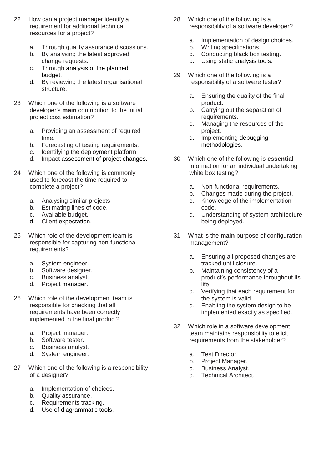- 22 How can a project manager identify a requirement for additional technical resources for a project?
	- a. Through quality assurance discussions.
	- b. By analysing the latest approved change requests.
	- c. Through analysis of the planned budget.
	- d. By reviewing the latest organisational structure.
- 23 Which one of the following is a software developer's **main** contribution to the initial project cost estimation?
	- a. Providing an assessment of required time.
	- b. Forecasting of testing requirements.
	- c. Identifying the deployment platform.
	- d. Impact assessment of project changes.
- 24 Which one of the following is commonly used to forecast the time required to complete a project?
	- a. Analysing similar projects.
	- b. Estimating lines of code.
	- c. Available budget.
	- d. Client expectation.
- 25 Which role of the development team is responsible for capturing non-functional requirements?
	- a. System engineer.
	- b. Software designer.
	- c. Business analyst.
	- d. Project manager.
- 26 Which role of the development team is responsible for checking that all requirements have been correctly implemented in the final product?
	- a. Project manager.
	- b. Software tester.
	- c. Business analyst.
	- d. System engineer.
- 27 Which one of the following is a responsibility of a designer?
	- a. Implementation of choices.
	- b. Quality assurance.
	- c. Requirements tracking.
	- d. Use of diagrammatic tools.
- 28 Which one of the following is a responsibility of a software developer?
	- a. Implementation of design choices.<br>b. Writing specifications.
	- Writing specifications.
	- c. Conducting black box testing.
	- d. Using static analysis tools.
- 29 Which one of the following is a responsibility of a software tester?
	- a. Ensuring the quality of the final product.
	- b. Carrying out the separation of requirements.
	- c. Managing the resources of the project.
	- d. Implementing debugging methodologies.
- 30 Which one of the following is **essential** information for an individual undertaking white box testing?
	- a. Non-functional requirements.
	- Changes made during the project.
	- c. Knowledge of the implementation code.
	- d. Understanding of system architecture being deployed.
- 31 What is the **main** purpose of configuration management?
	- a. Ensuring all proposed changes are tracked until closure.
	- b. Maintaining consistency of a product's performance throughout its life.
	- c. Verifying that each requirement for the system is valid.
	- d. Enabling the system design to be implemented exactly as specified.
- 32 Which role in a software development team maintains responsibility to elicit requirements from the stakeholder?
	- a. Test Director.
	- b. Project Manager.
	- c. Business Analyst.<br>d. Technical Architer
	- **Technical Architect.**